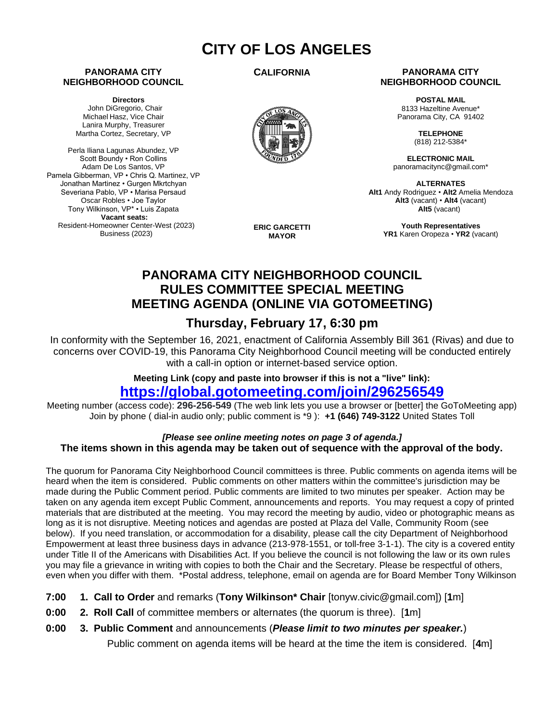# **CITY OF LOS ANGELES**

### **PANORAMA CITY NEIGHBORHOOD COUNCIL**

**Directors** John DiGregorio, Chair Michael Hasz, Vice Chair Lanira Murphy, Treasurer Martha Cortez, Secretary, VP

Perla Iliana Lagunas Abundez, VP Scott Boundy • Ron Collins Adam De Los Santos, VP Pamela Gibberman, VP • Chris Q. Martinez, VP Jonathan Martinez • Gurgen Mkrtchyan Severiana Pablo, VP • Marisa Persaud Oscar Robles • Joe Taylor Tony Wilkinson, VP\* • Luis Zapata **Vacant seats:**  Resident-Homeowner Center-West (2023) Business (2023)

**CALIFORNIA**



**ERIC GARCETTI MAYOR**

### **PANORAMA CITY NEIGHBORHOOD COUNCIL**

**POSTAL MAIL** 8133 Hazeltine Avenue\* Panorama City, CA 91402

> **TELEPHONE** (818) 212-5384\*

**ELECTRONIC MAIL** panoramacitync@gmail.com\*

**ALTERNATES Alt1** Andy Rodriguez • **Alt2** Amelia Mendoza **Alt3** (vacant) • **Alt4** (vacant) **Alt5** (vacant)

**Youth Representatives YR1** Karen Oropeza • **YR2** (vacant)

### **PANORAMA CITY NEIGHBORHOOD COUNCIL RULES COMMITTEE SPECIAL MEETING MEETING AGENDA (ONLINE VIA GOTOMEETING)**

### **Thursday, February 17, 6:30 pm**

In conformity with the September 16, 2021, enactment of California Assembly Bill 361 (Rivas) and due to concerns over COVID-19, this Panorama City Neighborhood Council meeting will be conducted entirely with a call-in option or internet-based service option.

**Meeting Link (copy and paste into browser if this is not a "live" link):** 

## **<https://global.gotomeeting.com/join/296256549>**

Meeting number (access code): **296-256-549** (The web link lets you use a browser or [better] the GoToMeeting app) Join by phone ( dial-in audio only; public comment is \*9 ): **+1 (646) 749-3122** United States Toll

### *[Please see online meeting notes on page 3 of agenda.]* **The items shown in this agenda may be taken out of sequence with the approval of the body.**

The quorum for Panorama City Neighborhood Council committees is three. Public comments on agenda items will be heard when the item is considered. Public comments on other matters within the committee's jurisdiction may be made during the Public Comment period. Public comments are limited to two minutes per speaker. Action may be taken on any agenda item except Public Comment, announcements and reports. You may request a copy of printed materials that are distributed at the meeting. You may record the meeting by audio, video or photographic means as long as it is not disruptive. Meeting notices and agendas are posted at Plaza del Valle, Community Room (see below). If you need translation, or accommodation for a disability, please call the city Department of Neighborhood Empowerment at least three business days in advance (213-978-1551, or toll-free 3-1-1). The city is a covered entity under Title II of the Americans with Disabilities Act. If you believe the council is not following the law or its own rules you may file a grievance in writing with copies to both the Chair and the Secretary. Please be respectful of others, even when you differ with them. \*Postal address, telephone, email on agenda are for Board Member Tony Wilkinson

- **7:00 1. Call to Order** and remarks (**Tony Wilkinson\* Chair** [tonyw.civic@gmail.com]) [**1**m]
- **0:00 2. Roll Call** of committee members or alternates (the quorum is three). [**1**m]
- **0:00 3. Public Comment** and announcements (*Please limit to two minutes per speaker.*)

Public comment on agenda items will be heard at the time the item is considered. [**4**m]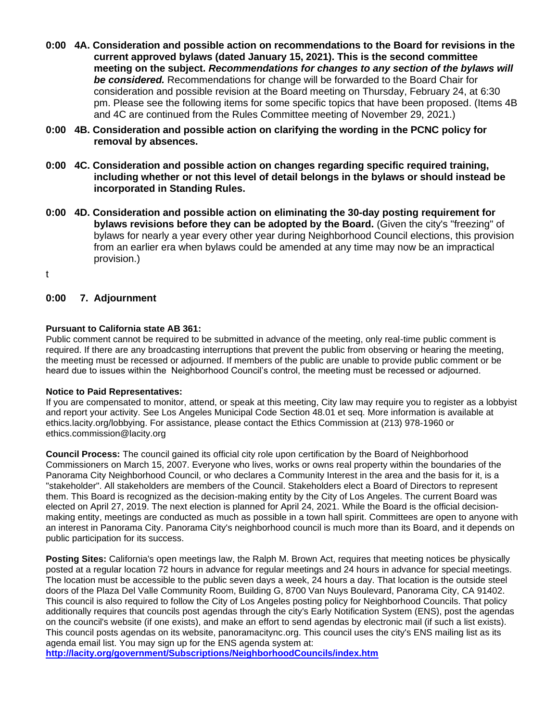- **0:00 4A. Consideration and possible action on recommendations to the Board for revisions in the current approved bylaws (dated January 15, 2021). This is the second committee meeting on the subject.** *Recommendations for changes to any section of the bylaws will be considered.* Recommendations for change will be forwarded to the Board Chair for consideration and possible revision at the Board meeting on Thursday, February 24, at 6:30 pm. Please see the following items for some specific topics that have been proposed. (Items 4B and 4C are continued from the Rules Committee meeting of November 29, 2021.)
- **0:00 4B. Consideration and possible action on clarifying the wording in the PCNC policy for removal by absences.**
- **0:00 4C. Consideration and possible action on changes regarding specific required training, including whether or not this level of detail belongs in the bylaws or should instead be incorporated in Standing Rules.**
- **0:00 4D. Consideration and possible action on eliminating the 30-day posting requirement for bylaws revisions before they can be adopted by the Board.** (Given the city's "freezing" of bylaws for nearly a year every other year during Neighborhood Council elections, this provision from an earlier era when bylaws could be amended at any time may now be an impractical provision.)
- t

### **0:00 7. Adjournment**

### **Pursuant to California state AB 361:**

Public comment cannot be required to be submitted in advance of the meeting, only real-time public comment is required. If there are any broadcasting interruptions that prevent the public from observing or hearing the meeting, the meeting must be recessed or adjourned. If members of the public are unable to provide public comment or be heard due to issues within the Neighborhood Council's control, the meeting must be recessed or adjourned.

#### **Notice to Paid Representatives:**

If you are compensated to monitor, attend, or speak at this meeting, City law may require you to register as a lobbyist and report your activity. See Los Angeles Municipal Code Section 48.01 et seq. More information is available at ethics.lacity.org/lobbying. For assistance, please contact the Ethics Commission at (213) 978-1960 or ethics.commission@lacity.org

**Council Process:** The council gained its official city role upon certification by the Board of Neighborhood Commissioners on March 15, 2007. Everyone who lives, works or owns real property within the boundaries of the Panorama City Neighborhood Council, or who declares a Community Interest in the area and the basis for it, is a "stakeholder". All stakeholders are members of the Council. Stakeholders elect a Board of Directors to represent them. This Board is recognized as the decision-making entity by the City of Los Angeles. The current Board was elected on April 27, 2019. The next election is planned for April 24, 2021. While the Board is the official decisionmaking entity, meetings are conducted as much as possible in a town hall spirit. Committees are open to anyone with an interest in Panorama City. Panorama City's neighborhood council is much more than its Board, and it depends on public participation for its success.

**Posting Sites:** California's open meetings law, the Ralph M. Brown Act, requires that meeting notices be physically posted at a regular location 72 hours in advance for regular meetings and 24 hours in advance for special meetings. The location must be accessible to the public seven days a week, 24 hours a day. That location is the outside steel doors of the Plaza Del Valle Community Room, Building G, 8700 Van Nuys Boulevard, Panorama City, CA 91402. This council is also required to follow the City of Los Angeles posting policy for Neighborhood Councils. That policy additionally requires that councils post agendas through the city's Early Notification System (ENS), post the agendas on the council's website (if one exists), and make an effort to send agendas by electronic mail (if such a list exists). This council posts agendas on its website, panoramacitync.org. This council uses the city's ENS mailing list as its agenda email list. You may sign up for the ENS agenda system at:

**<http://lacity.org/government/Subscriptions/NeighborhoodCouncils/index.htm>**